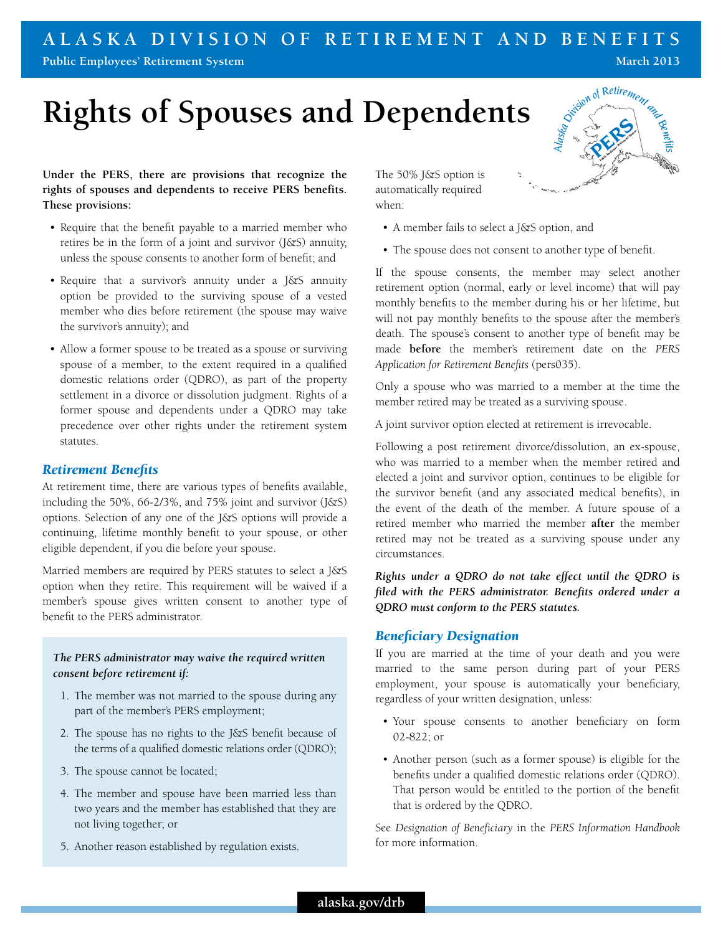#### **A l a s k a Division of Reti r ement a n d Benefits Public Employees' Retirement System March 2013**

# **Rights of Spouses and Dependents**

**Under the PERS, there are provisions that recognize the rights of spouses and dependents to receive PERS benefits. These provisions:**

- Require that the benefit payable to a married member who retires be in the form of a joint and survivor  $(J\&S)$  annuity, unless the spouse consents to another form of benefit; and
- Require that a survivor's annuity under a J&S annuity option be provided to the surviving spouse of a vested member who dies before retirement (the spouse may waive the survivor's annuity); and
- Allow a former spouse to be treated as a spouse or surviving spouse of a member, to the extent required in a qualified domestic relations order (QDRO), as part of the property settlement in a divorce or dissolution judgment. Rights of a former spouse and dependents under a QDRO may take precedence over other rights under the retirement system statutes.

#### *Retirement Benefits*

At retirement time, there are various types of benefits available, including the 50%, 66-2/3%, and 75% joint and survivor (J&S) options. Selection of any one of the J&S options will provide a continuing, lifetime monthly benefit to your spouse, or other eligible dependent, if you die before your spouse.

Married members are required by PERS statutes to select a J&S option when they retire. This requirement will be waived if a member's spouse gives written consent to another type of benefit to the PERS administrator.

#### *The PERS administrator may waive the required written consent before retirement if:*

- 1. The member was not married to the spouse during any part of the member's PERS employment;
- 2. The spouse has no rights to the J&S benefit because of the terms of a qualified domestic relations order (QDRO);
- 3. The spouse cannot be located;
- 4. The member and spouse have been married less than two years and the member has established that they are not living together; or
- 5. Another reason established by regulation exists.

The 50% J&S option is automatically required when:

- • A member fails to select a J&S option, and
- The spouse does not consent to another type of benefit.

If the spouse consents, the member may select another retirement option (normal, early or level income) that will pay monthly benefits to the member during his or her lifetime, but will not pay monthly benefits to the spouse after the member's death. The spouse's consent to another type of benefit may be made **before** the member's retirement date on the *PERS Application for Retirement Benefits* (pers035).

Only a spouse who was married to a member at the time the member retired may be treated as a surviving spouse.

A joint survivor option elected at retirement is irrevocable.

Following a post retirement divorce/dissolution, an ex-spouse, who was married to a member when the member retired and elected a joint and survivor option, continues to be eligible for the survivor benefit (and any associated medical benefits), in the event of the death of the member. A future spouse of a retired member who married the member **after** the member retired may not be treated as a surviving spouse under any circumstances.

*Rights under a QDRO do not take effect until the QDRO is filed with the PERS administrator. Benefits ordered under a QDRO must conform to the PERS statutes.*

#### *Beneficiary Designation*

If you are married at the time of your death and you were married to the same person during part of your PERS employment, your spouse is automatically your beneficiary, regardless of your written designation, unless:

- • Your spouse consents to another beneficiary on form 02-822; or
- Another person (such as a former spouse) is eligible for the benefits under a qualified domestic relations order (QDRO). That person would be entitled to the portion of the benefit that is ordered by the QDRO.

See *Designation of Beneficiary* in the *PERS Information Handbook* for more information.